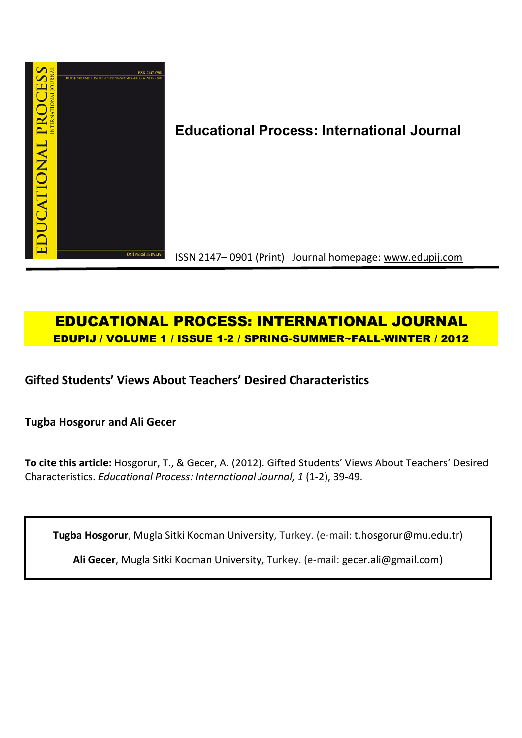

# **Educational Process: International Journal**

ISSN 2147– 0901 (Print) Journal homepage: www.edupij.com

## **EDUCATIONAL PROCESS: INTERNATIONAL JOURNAL EDUPIJ / VOLUME 1 / ISSUE 1-2 / SPRING-SUMMER~FALL-WINTER / 2012**

**Gifted Students' Views About Teachers' Desired Characteristics**

**Tugba Hosgorur and Ali Gecer** 

**To cite this article:** Hosgorur, T., & Gecer, A. (2012). Gifted Students' Views About Teachers' Desired Characteristics. *Educational Process: International Journal, 1* (1-2), 39-49.

**Tugba Hosgorur**, Mugla Sitki Kocman University, Turkey. (e-mail: t.hosgorur@mu.edu.tr)

**Ali Gecer**, Mugla Sitki Kocman University, Turkey. (e-mail: gecer.ali@gmail.com)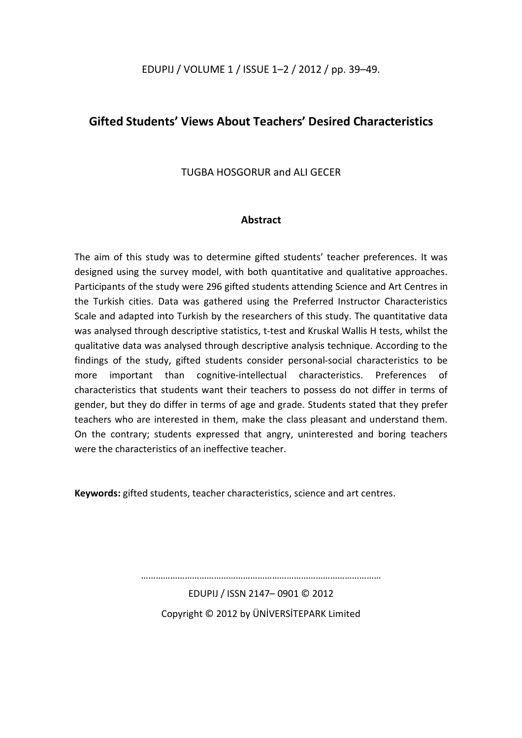EDUPIJ / VOLUME 1 / ISSUE 1–2 / 2012 / pp. 39–49.

### **Gifted Students' Views About Teachers' Desired Characteristics**

TUGBA HOSGORUR and ALI GECER

#### **Abstract**

The aim of this study was to determine gifted students' teacher preferences. It was designed using the survey model, with both quantitative and qualitative approaches. Participants of the study were 296 gifted students attending Science and Art Centres in the Turkish cities. Data was gathered using the Preferred Instructor Characteristics Scale and adapted into Turkish by the researchers of this study. The quantitative data was analysed through descriptive statistics, t-test and Kruskal Wallis H tests, whilst the qualitative data was analysed through descriptive analysis technique. According to the findings of the study, gifted students consider personal-social characteristics to be more important than cognitive-intellectual characteristics. Preferences of characteristics that students want their teachers to possess do not differ in terms of gender, but they do differ in terms of age and grade. Students stated that they prefer teachers who are interested in them, make the class pleasant and understand them. On the contrary; students expressed that angry, uninterested and boring teachers were the characteristics of an ineffective teacher

**Keywords:** gifted students, teacher characteristics, science and art centres.

………………………………………………………………………………………

EDUPIJ / ISSN 2147– 0901 © 2012 Copyright © 2012 by ÜNİVERSİTEPARK Limited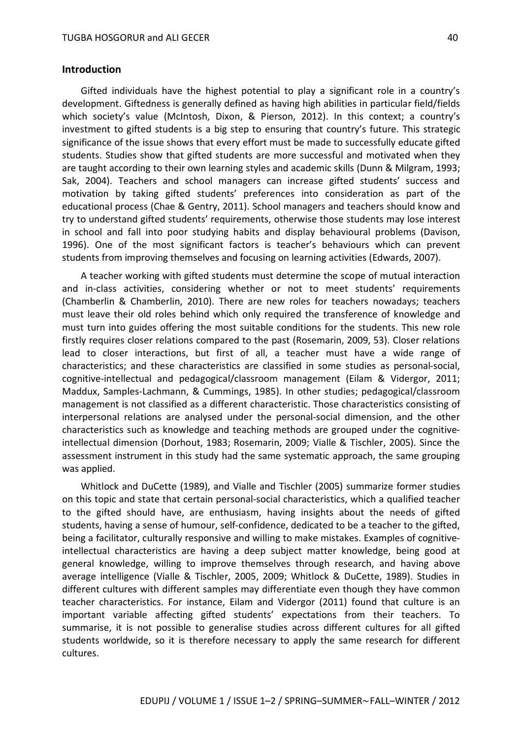#### **Introduction**

Gifted individuals have the highest potential to play a significant role in a country's development. Giftedness is generally defined as having high abilities in particular field/fields which society's value (McIntosh, Dixon, & Pierson, 2012). In this context; a country's investment to gifted students is a big step to ensuring that country's future. This strategic significance of the issue shows that every effort must be made to successfully educate gifted students. Studies show that gifted students are more successful and motivated when they are taught according to their own learning styles and academic skills (Dunn & Milgram, 1993; Sak, 2004). Teachers and school managers can increase gifted students' success and motivation by taking gifted students' preferences into consideration as part of the educational process (Chae & Gentry, 2011). School managers and teachers should know and try to understand gifted students' requirements, otherwise those students may lose interest in school and fall into poor studying habits and display behavioural problems (Davison, 1996). One of the most significant factors is teacher's behaviours which can prevent students from improving themselves and focusing on learning activities (Edwards, 2007).

A teacher working with gifted students must determine the scope of mutual interaction and in-class activities, considering whether or not to meet students' requirements (Chamberlin & Chamberlin, 2010). There are new roles for teachers nowadays; teachers must leave their old roles behind which only required the transference of knowledge and must turn into guides offering the most suitable conditions for the students. This new role firstly requires closer relations compared to the past (Rosemarin, 2009, 53). Closer relations lead to closer interactions, but first of all, a teacher must have a wide range of characteristics; and these characteristics are classified in some studies as personal-social, cognitive-intellectual and pedagogical/classroom management (Eilam & Vidergor, 2011; Maddux, Samples-Lachmann, & Cummings, 1985). In other studies; pedagogical/classroom management is not classified as a different characteristic. Those characteristics consisting of interpersonal relations are analysed under the personal-social dimension, and the other characteristics such as knowledge and teaching methods are grouped under the cognitiveintellectual dimension (Dorhout, 1983; Rosemarin, 2009; Vialle & Tischler, 2005). Since the assessment instrument in this study had the same systematic approach, the same grouping was applied.

Whitlock and DuCette (1989), and Vialle and Tischler (2005) summarize former studies on this topic and state that certain personal-social characteristics, which a qualified teacher to the gifted should have, are enthusiasm, having insights about the needs of gifted students, having a sense of humour, self-confidence, dedicated to be a teacher to the gifted, being a facilitator, culturally responsive and willing to make mistakes. Examples of cognitiveintellectual characteristics are having a deep subject matter knowledge, being good at general knowledge, willing to improve themselves through research, and having above average intelligence (Vialle & Tischler, 2005, 2009; Whitlock & DuCette, 1989). Studies in different cultures with different samples may differentiate even though they have common teacher characteristics. For instance, Eilam and Vidergor (2011) found that culture is an important variable affecting gifted students' expectations from their teachers. To summarise, it is not possible to generalise studies across different cultures for all gifted students worldwide, so it is therefore necessary to apply the same research for different cultures.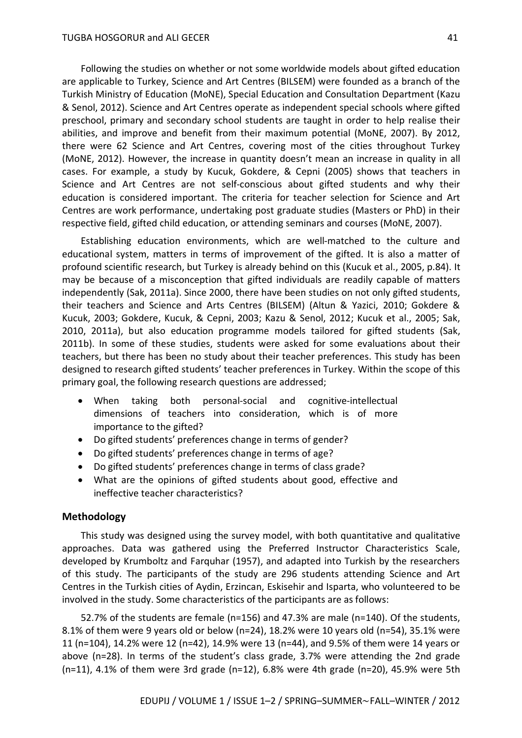Following the studies on whether or not some worldwide models about gifted education are applicable to Turkey, Science and Art Centres (BILSEM) were founded as a branch of the Turkish Ministry of Education (MoNE), Special Education and Consultation Department (Kazu & Senol, 2012). Science and Art Centres operate as independent special schools where gifted preschool, primary and secondary school students are taught in order to help realise their abilities, and improve and benefit from their maximum potential (MoNE, 2007). By 2012, there were 62 Science and Art Centres, covering most of the cities throughout Turkey (MoNE, 2012). However, the increase in quantity doesn't mean an increase in quality in all cases. For example, a study by Kucuk, Gokdere, & Cepni (2005) shows that teachers in Science and Art Centres are not self-conscious about gifted students and why their education is considered important. The criteria for teacher selection for Science and Art Centres are work performance, undertaking post graduate studies (Masters or PhD) in their respective field, gifted child education, or attending seminars and courses (MoNE, 2007).

Establishing education environments, which are well-matched to the culture and educational system, matters in terms of improvement of the gifted. It is also a matter of profound scientific research, but Turkey is already behind on this (Kucuk et al., 2005, p.84). It may be because of a misconception that gifted individuals are readily capable of matters independently (Sak, 2011a). Since 2000, there have been studies on not only gifted students, their teachers and Science and Arts Centres (BILSEM) (Altun & Yazici, 2010; Gokdere & Kucuk, 2003; Gokdere, Kucuk, & Cepni, 2003; Kazu & Senol, 2012; Kucuk et al., 2005; Sak, 2010, 2011a), but also education programme models tailored for gifted students (Sak, 2011b). In some of these studies, students were asked for some evaluations about their teachers, but there has been no study about their teacher preferences. This study has been designed to research gifted students' teacher preferences in Turkey. Within the scope of this primary goal, the following research questions are addressed;

- When taking both personal-social and cognitive-intellectual dimensions of teachers into consideration, which is of more importance to the gifted?
- Do gifted students' preferences change in terms of gender?
- Do gifted students' preferences change in terms of age?
- Do gifted students' preferences change in terms of class grade?
- What are the opinions of gifted students about good, effective and ineffective teacher characteristics?

#### **Methodology**

This study was designed using the survey model, with both quantitative and qualitative approaches. Data was gathered using the Preferred Instructor Characteristics Scale, developed by Krumboltz and Farquhar (1957), and adapted into Turkish by the researchers of this study. The participants of the study are 296 students attending Science and Art Centres in the Turkish cities of Aydin, Erzincan, Eskisehir and Isparta, who volunteered to be involved in the study. Some characteristics of the participants are as follows:

52.7% of the students are female (n=156) and 47.3% are male (n=140). Of the students, 8.1% of them were 9 years old or below (n=24), 18.2% were 10 years old (n=54), 35.1% were 11 (n=104), 14.2% were 12 (n=42), 14.9% were 13 (n=44), and 9.5% of them were 14 years or above (n=28). In terms of the student's class grade, 3.7% were attending the 2nd grade ( $n=11$ ), 4.1% of them were 3rd grade ( $n=12$ ), 6.8% were 4th grade ( $n=20$ ), 45.9% were 5th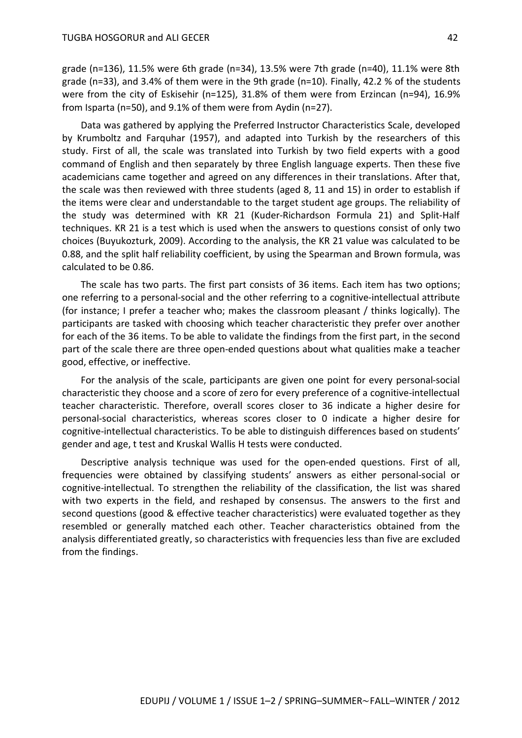grade (n=136), 11.5% were 6th grade (n=34), 13.5% were 7th grade (n=40), 11.1% were 8th grade (n=33), and 3.4% of them were in the 9th grade (n=10). Finally, 42.2 % of the students were from the city of Eskisehir (n=125), 31.8% of them were from Erzincan (n=94), 16.9% from Isparta (n=50), and 9.1% of them were from Aydin (n=27).

Data was gathered by applying the Preferred Instructor Characteristics Scale, developed by Krumboltz and Farquhar (1957), and adapted into Turkish by the researchers of this study. First of all, the scale was translated into Turkish by two field experts with a good command of English and then separately by three English language experts. Then these five academicians came together and agreed on any differences in their translations. After that, the scale was then reviewed with three students (aged 8, 11 and 15) in order to establish if the items were clear and understandable to the target student age groups. The reliability of the study was determined with KR 21 (Kuder-Richardson Formula 21) and Split-Half techniques. KR 21 is a test which is used when the answers to questions consist of only two choices (Buyukozturk, 2009). According to the analysis, the KR 21 value was calculated to be 0.88, and the split half reliability coefficient, by using the Spearman and Brown formula, was calculated to be 0.86.

The scale has two parts. The first part consists of 36 items. Each item has two options; one referring to a personal-social and the other referring to a cognitive-intellectual attribute (for instance; I prefer a teacher who; makes the classroom pleasant / thinks logically). The participants are tasked with choosing which teacher characteristic they prefer over another for each of the 36 items. To be able to validate the findings from the first part, in the second part of the scale there are three open-ended questions about what qualities make a teacher good, effective, or ineffective.

For the analysis of the scale, participants are given one point for every personal-social characteristic they choose and a score of zero for every preference of a cognitive-intellectual teacher characteristic. Therefore, overall scores closer to 36 indicate a higher desire for personal-social characteristics, whereas scores closer to 0 indicate a higher desire for cognitive-intellectual characteristics. To be able to distinguish differences based on students' gender and age, t test and Kruskal Wallis H tests were conducted.

Descriptive analysis technique was used for the open-ended questions. First of all, frequencies were obtained by classifying students' answers as either personal-social or cognitive-intellectual. To strengthen the reliability of the classification, the list was shared with two experts in the field, and reshaped by consensus. The answers to the first and second questions (good & effective teacher characteristics) were evaluated together as they resembled or generally matched each other. Teacher characteristics obtained from the analysis differentiated greatly, so characteristics with frequencies less than five are excluded from the findings.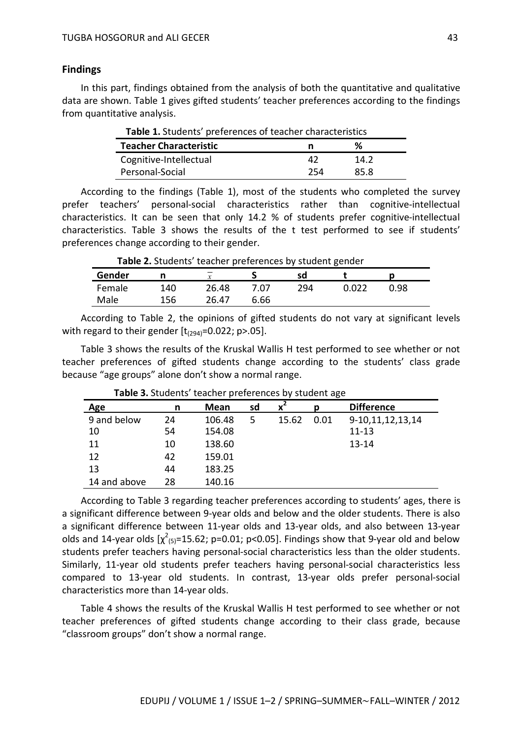#### **Findings**

In this part, findings obtained from the analysis of both the quantitative and qualitative data are shown. Table 1 gives gifted students' teacher preferences according to the findings from quantitative analysis.

| Table 1. Students' preferences of teacher characteristics |     |      |  |  |
|-----------------------------------------------------------|-----|------|--|--|
| <b>Teacher Characteristic</b><br>℅<br>n                   |     |      |  |  |
| Cognitive-Intellectual                                    | 47  | 14.2 |  |  |
| Personal-Social                                           | 254 | 85.8 |  |  |

According to the findings (Table 1), most of the students who completed the survey prefer teachers' personal-social characteristics rather than cognitive-intellectual characteristics. It can be seen that only 14.2 % of students prefer cognitive-intellectual characteristics. Table 3 shows the results of the t test performed to see if students' preferences change according to their gender.

| Gender | n   | $\overline{\phantom{a}}$<br>$\mathbf{v}$ |      | sd  |      |  |
|--------|-----|------------------------------------------|------|-----|------|--|
| Female | 140 | 26.48                                    | 7.07 | 294 | J.98 |  |
| Male   | 156 | 26.47                                    | 6.66 |     |      |  |

According to Table 2, the opinions of gifted students do not vary at significant levels with regard to their gender  $[t_{(294)}=0.022; p>0.05]$ .

Table 3 shows the results of the Kruskal Wallis H test performed to see whether or not teacher preferences of gifted students change according to the students' class grade because "age groups" alone don't show a normal range.

| Age          | n  | <b>Mean</b> | sd | $x^2$ |      | <b>Difference</b> |
|--------------|----|-------------|----|-------|------|-------------------|
| 9 and below  | 24 | 106.48      | 5  | 15.62 | 0.01 | 9-10,11,12,13,14  |
| 10           | 54 | 154.08      |    |       |      | $11 - 13$         |
| 11           | 10 | 138.60      |    |       |      | $13 - 14$         |
| 12           | 42 | 159.01      |    |       |      |                   |
| 13           | 44 | 183.25      |    |       |      |                   |
| 14 and above | 28 | 140.16      |    |       |      |                   |

**Table 3.** Students' teacher preferences by student age

According to Table 3 regarding teacher preferences according to students' ages, there is a significant difference between 9-year olds and below and the older students. There is also a significant difference between 11-year olds and 13-year olds, and also between 13-year olds and 14-year olds  $[\chi^2_{(5)}$ =15.62; p=0.01; p<0.05]. Findings show that 9-year old and below students prefer teachers having personal-social characteristics less than the older students. Similarly, 11-year old students prefer teachers having personal-social characteristics less compared to 13-year old students. In contrast, 13-year olds prefer personal-social characteristics more than 14-year olds.

Table 4 shows the results of the Kruskal Wallis H test performed to see whether or not teacher preferences of gifted students change according to their class grade, because "classroom groups" don't show a normal range.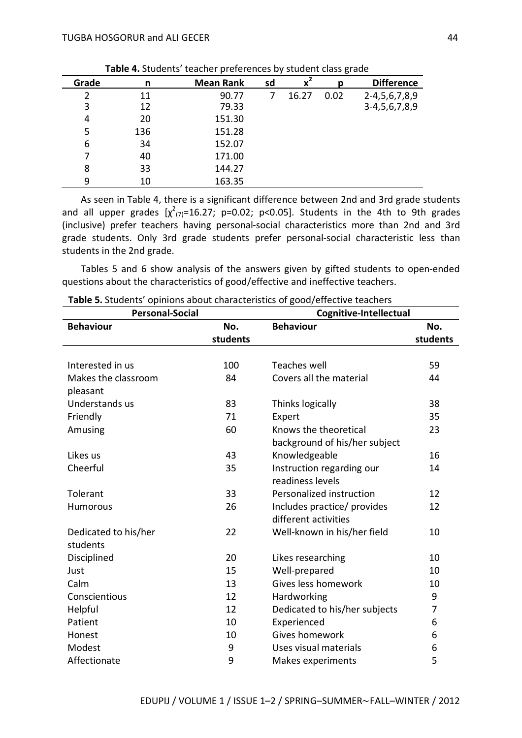| Grade | n   | <b>Mean Rank</b> | sd | $\bar{x}^2$ | Ŋ    | <b>Difference</b>  |
|-------|-----|------------------|----|-------------|------|--------------------|
| 2     | 11  | 90.77            |    | 16.27       | 0.02 | 2-4, 5, 6, 7, 8, 9 |
| 3     | 12  | 79.33            |    |             |      | 3-4, 5, 6, 7, 8, 9 |
| 4     | 20  | 151.30           |    |             |      |                    |
| 5     | 136 | 151.28           |    |             |      |                    |
| 6     | 34  | 152.07           |    |             |      |                    |
|       | 40  | 171.00           |    |             |      |                    |
| 8     | 33  | 144.27           |    |             |      |                    |
|       | 10  | 163.35           |    |             |      |                    |

 **Table 4.** Students' teacher preferences by student class grade

As seen in Table 4, there is a significant difference between 2nd and 3rd grade students and all upper grades  $[\chi^2_{(7)}=16.27; p=0.02; p<0.05]$ . Students in the 4th to 9th grades (inclusive) prefer teachers having personal-social characteristics more than 2nd and 3rd grade students. Only 3rd grade students prefer personal-social characteristic less than students in the 2nd grade.

Tables 5 and 6 show analysis of the answers given by gifted students to open-ended questions about the characteristics of good/effective and ineffective teachers.

| <b>Personal-Social</b> |          | Cognitive-Intellectual        |                |  |
|------------------------|----------|-------------------------------|----------------|--|
| <b>Behaviour</b>       | No.      | <b>Behaviour</b>              | No.            |  |
|                        | students |                               | students       |  |
|                        |          |                               |                |  |
| Interested in us       | 100      | <b>Teaches well</b>           | 59             |  |
| Makes the classroom    | 84       | Covers all the material       | 44             |  |
| pleasant               |          |                               |                |  |
| Understands us         | 83       | Thinks logically              | 38             |  |
| Friendly               | 71       | Expert                        | 35             |  |
| Amusing                | 60       | Knows the theoretical         | 23             |  |
|                        |          | background of his/her subject |                |  |
| Likes us               | 43       | Knowledgeable                 | 16             |  |
| Cheerful               | 35       | Instruction regarding our     | 14             |  |
|                        |          | readiness levels              |                |  |
| Tolerant               | 33       | Personalized instruction      | 12             |  |
| <b>Humorous</b>        | 26       | Includes practice/ provides   | 12             |  |
|                        |          | different activities          |                |  |
| Dedicated to his/her   | 22       | Well-known in his/her field   | 10             |  |
| students               |          |                               |                |  |
| Disciplined            | 20       | Likes researching             | 10             |  |
| Just                   | 15       | Well-prepared                 | 10             |  |
| Calm                   | 13       | Gives less homework           | 10             |  |
| Conscientious          | 12       | Hardworking                   | 9              |  |
| Helpful                | 12       | Dedicated to his/her subjects | $\overline{7}$ |  |
| Patient                | 10       | Experienced                   | 6              |  |
| Honest                 | 10       | Gives homework                | 6              |  |
| Modest                 | 9        | Uses visual materials         | 6              |  |
| Affectionate           | 9        | Makes experiments             | 5              |  |

**Table 5.** Students' opinions about characteristics of good/effective teachers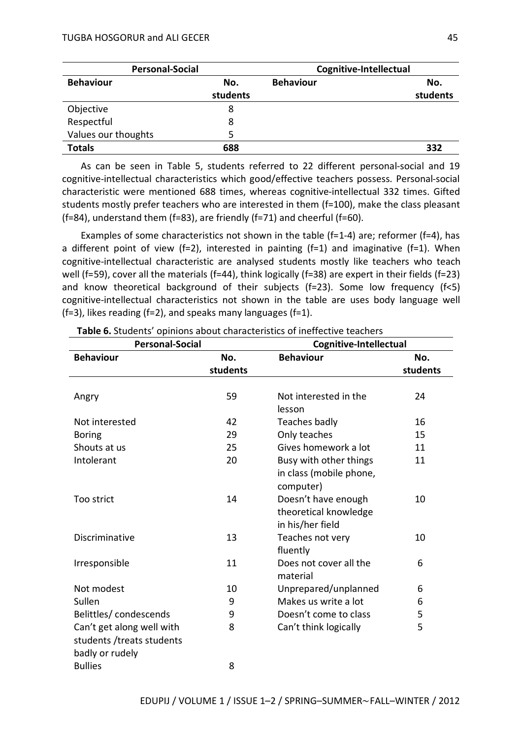| <b>Personal-Social</b> |          | Cognitive-Intellectual |          |  |
|------------------------|----------|------------------------|----------|--|
| <b>Behaviour</b>       | No.      | <b>Behaviour</b>       | No.      |  |
|                        | students |                        | students |  |
| Objective              | 8        |                        |          |  |
| Respectful             | 8        |                        |          |  |
| Values our thoughts    | 5        |                        |          |  |
| <b>Totals</b>          | 688      |                        | 332      |  |

As can be seen in Table 5, students referred to 22 different personal-social and 19 cognitive-intellectual characteristics which good/effective teachers possess. Personal-social characteristic were mentioned 688 times, whereas cognitive-intellectual 332 times. Gifted students mostly prefer teachers who are interested in them (f=100), make the class pleasant (f=84), understand them (f=83), are friendly (f=71) and cheerful (f=60).

Examples of some characteristics not shown in the table (f=1-4) are; reformer (f=4), has a different point of view (f=2), interested in painting (f=1) and imaginative (f=1). When cognitive-intellectual characteristic are analysed students mostly like teachers who teach well (f=59), cover all the materials (f=44), think logically (f=38) are expert in their fields (f=23) and know theoretical background of their subjects ( $f=23$ ). Some low frequency ( $f<5$ ) cognitive-intellectual characteristics not shown in the table are uses body language well ( $f=3$ ), likes reading ( $f=2$ ), and speaks many languages ( $f=1$ ).

| <b>Personal-Social</b>    |          | Cognitive-Intellectual  |          |  |
|---------------------------|----------|-------------------------|----------|--|
| <b>Behaviour</b>          | No.      | <b>Behaviour</b>        | No.      |  |
|                           | students |                         | students |  |
|                           |          |                         |          |  |
| Angry                     | 59       | Not interested in the   | 24       |  |
|                           |          | lesson                  |          |  |
| Not interested            | 42       | Teaches badly           | 16       |  |
| <b>Boring</b>             | 29       | Only teaches            | 15       |  |
| Shouts at us              | 25       | Gives homework a lot    | 11       |  |
| Intolerant                | 20       | Busy with other things  | 11       |  |
|                           |          | in class (mobile phone, |          |  |
|                           |          | computer)               |          |  |
| Too strict                | 14       | Doesn't have enough     | 10       |  |
|                           |          | theoretical knowledge   |          |  |
|                           |          | in his/her field        |          |  |
| Discriminative            | 13       | Teaches not very        | 10       |  |
|                           |          | fluently                |          |  |
| Irresponsible             | 11       | Does not cover all the  | 6        |  |
|                           |          | material                |          |  |
| Not modest                | 10       | Unprepared/unplanned    | 6        |  |
| Sullen                    | 9        | Makes us write a lot    | 6        |  |
| Belittles/condescends     | 9        | Doesn't come to class   | 5        |  |
| Can't get along well with | 8        | Can't think logically   | 5        |  |
| students /treats students |          |                         |          |  |
| badly or rudely           |          |                         |          |  |
| <b>Bullies</b>            | 8        |                         |          |  |

**Table 6.** Students' opinions about characteristics of ineffective teachers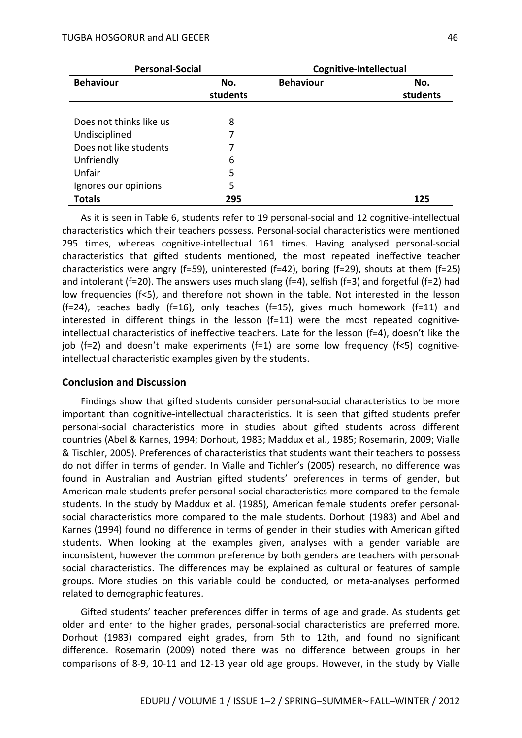| <b>Personal-Social</b>  |          | Cognitive-Intellectual |          |
|-------------------------|----------|------------------------|----------|
| <b>Behaviour</b>        | No.      | <b>Behaviour</b>       | No.      |
|                         | students |                        | students |
|                         |          |                        |          |
| Does not thinks like us | 8        |                        |          |
| Undisciplined           |          |                        |          |
| Does not like students  | 7        |                        |          |
| Unfriendly              | 6        |                        |          |
| Unfair                  | 5        |                        |          |
| Ignores our opinions    | 5        |                        |          |
| <b>Totals</b>           | 295      |                        | 125      |

As it is seen in Table 6, students refer to 19 personal-social and 12 cognitive-intellectual characteristics which their teachers possess. Personal-social characteristics were mentioned 295 times, whereas cognitive-intellectual 161 times. Having analysed personal-social characteristics that gifted students mentioned, the most repeated ineffective teacher characteristics were angry (f=59), uninterested (f=42), boring (f=29), shouts at them (f=25) and intolerant (f=20). The answers uses much slang (f=4), selfish (f=3) and forgetful (f=2) had low frequencies (f<5), and therefore not shown in the table. Not interested in the lesson (f=24), teaches badly (f=16), only teaches (f=15), gives much homework (f=11) and interested in different things in the lesson (f=11) were the most repeated cognitiveintellectual characteristics of ineffective teachers. Late for the lesson (f=4), doesn't like the job (f=2) and doesn't make experiments (f=1) are some low frequency (f<5) cognitiveintellectual characteristic examples given by the students.

#### **Conclusion and Discussion**

Findings show that gifted students consider personal-social characteristics to be more important than cognitive-intellectual characteristics. It is seen that gifted students prefer personal-social characteristics more in studies about gifted students across different countries (Abel & Karnes, 1994; Dorhout, 1983; Maddux et al., 1985; Rosemarin, 2009; Vialle & Tischler, 2005). Preferences of characteristics that students want their teachers to possess do not differ in terms of gender. In Vialle and Tichler's (2005) research, no difference was found in Australian and Austrian gifted students' preferences in terms of gender, but American male students prefer personal-social characteristics more compared to the female students. In the study by Maddux et al. (1985), American female students prefer personalsocial characteristics more compared to the male students. Dorhout (1983) and Abel and Karnes (1994) found no difference in terms of gender in their studies with American gifted students. When looking at the examples given, analyses with a gender variable are inconsistent, however the common preference by both genders are teachers with personalsocial characteristics. The differences may be explained as cultural or features of sample groups. More studies on this variable could be conducted, or meta-analyses performed related to demographic features.

Gifted students' teacher preferences differ in terms of age and grade. As students get older and enter to the higher grades, personal-social characteristics are preferred more. Dorhout (1983) compared eight grades, from 5th to 12th, and found no significant difference. Rosemarin (2009) noted there was no difference between groups in her comparisons of 8-9, 10-11 and 12-13 year old age groups. However, in the study by Vialle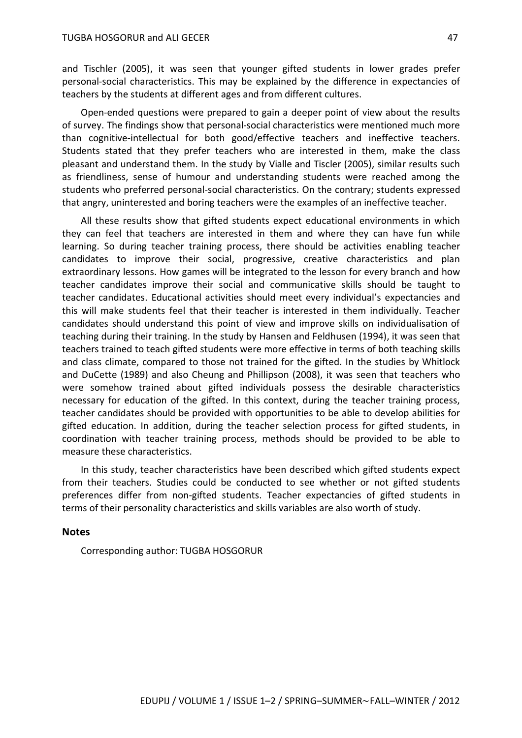and Tischler (2005), it was seen that younger gifted students in lower grades prefer personal-social characteristics. This may be explained by the difference in expectancies of teachers by the students at different ages and from different cultures.

Open-ended questions were prepared to gain a deeper point of view about the results of survey. The findings show that personal-social characteristics were mentioned much more than cognitive-intellectual for both good/effective teachers and ineffective teachers. Students stated that they prefer teachers who are interested in them, make the class pleasant and understand them. In the study by Vialle and Tiscler (2005), similar results such as friendliness, sense of humour and understanding students were reached among the students who preferred personal-social characteristics. On the contrary; students expressed that angry, uninterested and boring teachers were the examples of an ineffective teacher.

All these results show that gifted students expect educational environments in which they can feel that teachers are interested in them and where they can have fun while learning. So during teacher training process, there should be activities enabling teacher candidates to improve their social, progressive, creative characteristics and plan extraordinary lessons. How games will be integrated to the lesson for every branch and how teacher candidates improve their social and communicative skills should be taught to teacher candidates. Educational activities should meet every individual's expectancies and this will make students feel that their teacher is interested in them individually. Teacher candidates should understand this point of view and improve skills on individualisation of teaching during their training. In the study by Hansen and Feldhusen (1994), it was seen that teachers trained to teach gifted students were more effective in terms of both teaching skills and class climate, compared to those not trained for the gifted. In the studies by Whitlock and DuCette (1989) and also Cheung and Phillipson (2008), it was seen that teachers who were somehow trained about gifted individuals possess the desirable characteristics necessary for education of the gifted. In this context, during the teacher training process, teacher candidates should be provided with opportunities to be able to develop abilities for gifted education. In addition, during the teacher selection process for gifted students, in coordination with teacher training process, methods should be provided to be able to measure these characteristics.

In this study, teacher characteristics have been described which gifted students expect from their teachers. Studies could be conducted to see whether or not gifted students preferences differ from non-gifted students. Teacher expectancies of gifted students in terms of their personality characteristics and skills variables are also worth of study.

#### **Notes**

Corresponding author: TUGBA HOSGORUR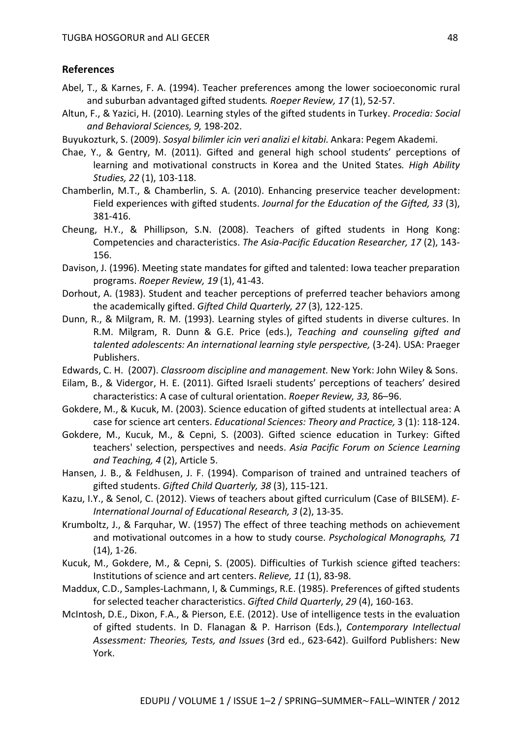#### **References**

- Abel, T., & Karnes, F. A. (1994). Teacher preferences among the lower socioeconomic rural and suburban advantaged gifted students*. Roeper Review, 17* (1), 52-57.
- Altun, F., & Yazici, H. (2010). Learning styles of the gifted students in Turkey. *Procedia: Social and Behavioral Sciences, 9,* 198-202.
- Buyukozturk, S. (2009). *Sosyal bilimler icin veri analizi el kitabi*. Ankara: Pegem Akademi.
- Chae, Y., & Gentry, M. (2011). Gifted and general high school students' perceptions of learning and motivational constructs in Korea and the United States*. High Ability Studies, 22* (1), 103-118.
- Chamberlin, M.T., & Chamberlin, S. A. (2010). Enhancing preservice teacher development: Field experiences with gifted students. *Journal for the Education of the Gifted, 33* (3), 381-416.
- Cheung, H.Y., & Phillipson, S.N. (2008). Teachers of gifted students in Hong Kong: Competencies and characteristics. *The Asia-Pacific Education Researcher, 17* (2), 143- 156.
- Davison, J. (1996). Meeting state mandates for gifted and talented: Iowa teacher preparation programs. *Roeper Review, 19* (1), 41-43.
- Dorhout, A. (1983). Student and teacher perceptions of preferred teacher behaviors among the academically gifted. *Gifted Child Quarterly, 27* (3), 122-125.
- Dunn, R., & Milgram, R. M. (1993). Learning styles of gifted students in diverse cultures. In R.M. Milgram, R. Dunn & G.E. Price (eds.), *Teaching and counseling gifted and talented adolescents: An international learning style perspective,* (3-24). USA: Praeger Publishers.
- Edwards, C. H. (2007). *Classroom discipline and management*. New York: John Wiley & Sons.
- Eilam, B., & Vidergor, H. E. (2011). Gifted Israeli students' perceptions of teachers' desired characteristics: A case of cultural orientation. *Roeper Review, 33,* 86–96.
- Gokdere, M., & Kucuk, M. (2003). Science education of gifted students at intellectual area: A case for science art centers. *Educational Sciences: Theory and Practice,* 3 (1): 118-124.
- Gokdere, M., Kucuk, M., & Cepni, S. (2003). Gifted science education in Turkey: Gifted teachers' selection, perspectives and needs. *Asia Pacific Forum on Science Learning and Teaching, 4* (2), Article 5.
- Hansen, J. B., & Feldhusen, J. F. (1994). Comparison of trained and untrained teachers of gifted students. *Gifted Child Quarterly, 38* (3), 115-121.
- Kazu, I.Y., & Senol, C. (2012). Views of teachers about gifted curriculum (Case of BILSEM). *E-International Journal of Educational Research, 3* (2), 13-35.
- Krumboltz, J., & Farquhar, W. (1957) The effect of three teaching methods on achievement and motivational outcomes in a how to study course. *Psychological Monographs, 71* (14), 1-26.
- Kucuk, M., Gokdere, M., & Cepni, S. (2005). Difficulties of Turkish science gifted teachers: Institutions of science and art centers. *Relieve, 11* (1), 83-98.
- Maddux, C.D., Samples-Lachmann, I, & Cummings, R.E. (1985). Preferences of gifted students for selected teacher characteristics. *Gifted Child Quarterly*, *29* (4), 160-163.
- McIntosh, D.E., Dixon, F.A., & Pierson, E.E. (2012). Use of intelligence tests in the evaluation of gifted students. In D. Flanagan & P. Harrison (Eds.), *Contemporary Intellectual Assessment: Theories, Tests, and Issues* (3rd ed., 623-642). Guilford Publishers: New York.